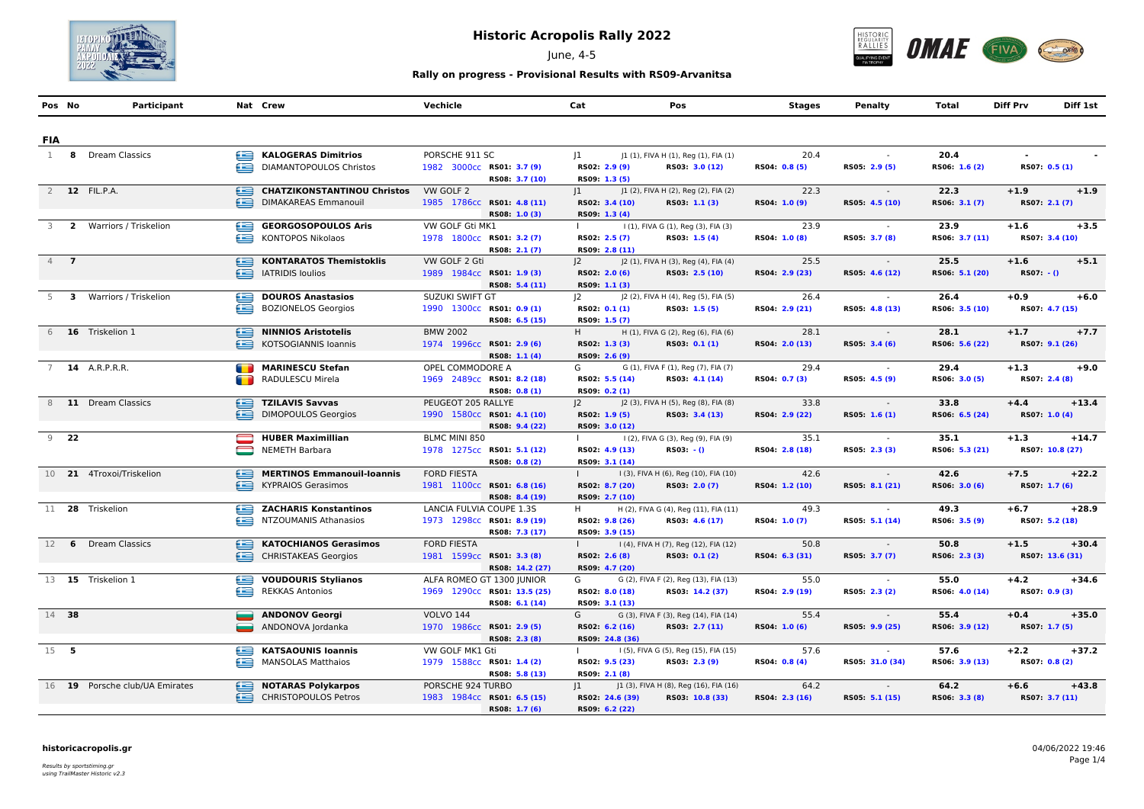

June, 4-5



## **Rally on progress - Provisional Results with RS09-Arvanitsa**

|              | Pos No | Participant                    |   | Nat Crew                                                                            | Vechicle                                                                      | Cat                                                    | Pos                                                       | Stages                 | <b>Penalty</b>                            | Total                  | <b>Diff Prv</b>           | Diff 1st |
|--------------|--------|--------------------------------|---|-------------------------------------------------------------------------------------|-------------------------------------------------------------------------------|--------------------------------------------------------|-----------------------------------------------------------|------------------------|-------------------------------------------|------------------------|---------------------------|----------|
| <b>FIA</b>   |        |                                |   |                                                                                     |                                                                               |                                                        |                                                           |                        |                                           |                        |                           |          |
| $\mathbf{1}$ |        | 8 Dream Classics               |   | KALOGERAS Dimitrios<br>DIAMANTOPOULOS Christos                                      | PORSCHE 911 SC<br>1982 3000cc RS01: 3.7 (9)<br>RS08: 3.7 (10)                 | 1<br>RS02: 2.9 (9)<br>RS09: 1.3 (5)                    | J1 (1), FIVA H (1), Reg (1), FIA (1)<br>RS03: 3.0 (12)    | 20.4<br>RS04: 0.8 (5)  | RS05: 2.9 (5)                             | 20.4<br>RS06: 1.6 (2)  | $\sim$<br>RS07: 0.5 (1)   |          |
|              |        | 2 12 FIL.P.A.                  |   | <b>CHATZIKONSTANTINOU Christos</b><br>DIMAKAREAS Emmanouil                          | VW GOLF 2<br>1985 1786cc RS01: 4.8 (11)                                       | $ 1\rangle$<br>RS02: 3.4 (10)                          | J1 (2), FIVA H (2), Reg (2), FIA (2)<br>RS03: 1.1 (3)     | 22.3<br>RS04: 1.0 (9)  | RS05: 4.5 (10)                            | 22.3<br>RS06: 3.1 (7)  | $+1.9$<br>RS07: 2.1 (7)   | $+1.9$   |
|              |        | 3 2 Warriors / Triskelion      | œ | GEORGOSOPOULOS Aris<br>KONTOPOS Nikolaos                                            | RS08: 1.0 (3)<br>VW GOLF Gti MK1<br>1978 1800cc RS01: 3.2 (7)                 | RS09: 1.3 (4)<br>$\mathbf{I}$<br>RS02: 2.5 (7)         | I (1), FIVA G (1), Reg (3), FIA (3)<br>RS03: 1.5 (4)      | 23.9<br>RS04: 1.0 (8)  | RS05: 3.7 (8)                             | 23.9<br>RS06: 3.7 (11) | $+1.6$<br>RS07: 3.4 (10)  | $+3.5$   |
|              | $4$ 7  |                                |   | KONTARATOS Themistoklis<br><b>Example 14 TRIDIS loulios</b>                         | RS08: 2.1 (7)<br>VW GOLF 2 Gti<br>1989 1984cc RS01: 1.9 (3)<br>RS08: 5.4 (11) | RS09: 2.8 (11)<br> 2<br>RS02: 2.0 (6)<br>RS09: 1.1 (3) | J2 (1), FIVA H (3), Reg (4), FIA (4)<br>RS03: 2.5 (10)    | 25.5<br>RS04: 2.9 (23) | RS05: 4.6 (12)                            | 25.5<br>RS06: 5.1 (20) | $+1.6$<br>$RS07: -()$     | $+5.1$   |
|              |        | 5 3 Warriors / Triskelion      |   | <b>DOUROS Anastasios</b><br>BOZIONELOS Georgios                                     | SUZUKI SWIFT GT<br>1990 1300cc RS01: 0.9 (1)<br>RS08: 6.5 (15)                | 2 <br>RS02: 0.1 (1)<br>RS09: 1.5 (7)                   | J2 (2), FIVA H (4), Reg (5), FIA (5)<br>RS03: 1.5 (5)     | 26.4<br>RS04: 2.9 (21) | RS05: 4.8 (13)                            | 26.4<br>RS06: 3.5 (10) | $+0.9$<br>RS07: 4.7 (15)  | $+6.0$   |
|              |        | 6 16 Triskelion 1              |   | NINNIOS Aristotelis<br>KOTSOGIANNIS Ioannis                                         | <b>BMW 2002</b><br>1974 1996cc RS01: 2.9 (6)<br>RS08: 1.1 (4)                 | H.<br>RS02: 1.3 (3)<br>RS09: 2.6 (9)                   | H (1), FIVA G (2), Reg (6), FIA (6)<br>RS03: 0.1 (1)      | 28.1<br>RS04: 2.0 (13) | <b>Contract Contract</b><br>RS05: 3.4 (6) | 28.1<br>RS06: 5.6 (22) | $+1.7$<br>RS07: 9.1 (26)  | $+7.7$   |
|              |        | 7 <b>14</b> A.R.P.R.R.         |   | MARINESCU Stefan<br>RADULESCU Mirela                                                | OPEL COMMODORE A<br>1969 2489cc RS01: 8.2 (18)<br>RS08: 0.8 (1)               | G<br>RS02: 5.5 (14)<br>RS09: 0.2 (1)                   | G (1), FIVA F (1), Reg (7), FIA (7)<br>RS03: 4.1 (14)     | 29.4<br>RS04: 0.7 (3)  | $\sim$<br>RS05: 4.5 (9)                   | 29.4<br>RS06: 3.0 (5)  | $+1.3$<br>RS07: 2.4 (8)   | $+9.0$   |
|              |        | 8 11 Dream Classics            |   | TZILAVIS Savvas<br>DIMOPOULOS Georgios                                              | PEUGEOT 205 RALLYE<br>1990 1580cc RS01: 4.1 (10)<br>RS08: 9.4 (22)            | 2 <br>RS02: 1.9 (5)<br>RS09: 3.0 (12)                  | J2 (3), FIVA H (5), Reg (8), FIA (8)<br>RS03: 3.4 (13)    | 33.8<br>RS04: 2.9 (22) | <b>Contractor</b><br>RS05: 1.6 (1)        | 33.8<br>RS06: 6.5 (24) | $+4.4$<br>RS07: 1.0 (4)   | $+13.4$  |
|              | $9$ 22 |                                |   | <b>HUBER Maximillian</b><br><b>NEMETH Barbara</b>                                   | BLMC MINI 850<br>1978 1275cc RS01: 5.1 (12)<br>RS08: 0.8 (2)                  | RS02: 4.9 (13)<br>RS09: 3.1 (14)                       | I (2), FIVA G (3), Reg (9), FIA (9)<br>$RS03: -()$        | 35.1<br>RS04: 2.8 (18) | RS05: 2.3 (3)                             | 35.1<br>RS06: 5.3 (21) | $+1.3$<br>RS07: 10.8 (27) | $+14.7$  |
|              |        | 10 21 4Troxoi/Triskelion       |   | MERTINOS Emmanouil-Ioannis<br><b>Expendite Contract Contract Contract</b> Gerasimos | <b>FORD FIESTA</b><br>1981 1100cc RS01: 6.8 (16)<br>RS08: 8.4 (19)            | RS02: 8.7 (20)<br>RS09: 2.7 (10)                       | I (3), FIVA H (6), Reg (10), FIA (10)<br>RS03: 2.0 (7)    | 42.6<br>RS04: 1.2 (10) | RS05: 8.1 (21)                            | 42.6<br>RS06: 3.0 (6)  | $+7.5$<br>RS07: 1.7 (6)   | $+22.2$  |
|              |        | 11 28 Triskelion               |   | <b>ZACHARIS Konstantinos</b><br>NTZOUMANIS Athanasios                               | LANCIA FULVIA COUPE 1.3S<br>1973 1298cc RS01: 8.9 (19)<br>RS08: 7.3 (17)      | H<br>RS02: 9.8 (26)<br>RS09: 3.9 (15)                  | H (2), FIVA G (4), Reg (11), FIA (11)<br>RS03: 4.6 (17)   | 49.3<br>RS04: 1.0 (7)  | $\sim$<br>RS05: 5.1 (14)                  | 49.3<br>RS06: 3.5 (9)  | $+6.7$<br>RS07: 5.2 (18)  | $+28.9$  |
|              |        | 12 <b>6</b> Dream Classics     |   | <b>KATOCHIANOS Gerasimos</b><br>CHRISTAKEAS Georgios                                | <b>FORD FIESTA</b><br>1981 1599cc RS01: 3.3 (8)<br>RS08: 14.2 (27)            | $\mathbf{L}$<br>RS02: 2.6 (8)<br>RS09: 4.7 (20)        | I (4), FIVA H (7), Reg (12), FIA (12)<br>RS03: 0.1 (2)    | 50.8<br>RS04: 6.3 (31) | RS05: 3.7 (7)                             | 50.8<br>RS06: 2.3 (3)  | $+1.5$<br>RS07: 13.6 (31) | $+30.4$  |
|              |        | 13 15 Triskelion 1             |   | <b>DEED VOUDOURIS Stylianos</b><br><b>REKKAS Antonios</b>                           | ALFA ROMEO GT 1300 JUNIOR<br>1969 1290cc RS01: 13.5 (25)<br>RS08: 6.1 (14)    | G<br>RS02: 8.0 (18)<br>RS09: 3.1 (13)                  | G (2), FIVA F (2), Reg (13), FIA (13)<br>RS03: 14.2 (37)  | 55.0<br>RS04: 2.9 (19) | $\sim$<br>RS05: 2.3 (2)                   | 55.0<br>RS06: 4.0 (14) | $+4.2$<br>RS07: 0.9 (3)   | $+34.6$  |
|              | 14 38  |                                |   | ANDONOV Georgi<br>ANDONOVA Jordanka                                                 | <b>VOLVO 144</b><br>1970 1986cc RS01: 2.9 (5)<br>RS08: 2.3 (8)                | G<br>RS02: 6.2 (16)<br>RS09: 24.8 (36)                 | G (3), FIVA F (3), Reg (14), FIA (14)<br>RS03: 2.7 (11)   | 55.4<br>RS04: 1.0 (6)  | RS05: 9.9 (25)                            | 55.4<br>RS06: 3.9 (12) | $+0.4$<br>RS07: 1.7 (5)   | $+35.0$  |
|              | $15$ 5 |                                | œ | <b>KATSAOUNIS Ioannis</b><br>MANSOLAS Matthaios                                     | VW GOLF MK1 Gti<br>1979 1588cc RS01: 1.4 (2)<br>RS08: 5.8 (13)                | RS02: 9.5 (23)<br>RS09: 2.1 (8)                        | I (5), FIVA G (5), Reg (15), FIA (15)<br>RS03: 2.3 (9)    | 57.6<br>RS04: 0.8 (4)  | RS05: 31.0 (34)                           | 57.6<br>RS06: 3.9 (13) | $+2.2$<br>RS07: 0.8 (2)   | $+37.2$  |
|              |        | 16 19 Porsche club/UA Emirates |   | NOTARAS Polykarpos<br>CHRISTOPOULOS Petros                                          | PORSCHE 924 TURBO<br>1983 1984cc RS01: 6.5 (15)<br>RS08: 1.7 (6)              | 1 <br>RS02: 24.6 (39)<br>RS09: 6.2 (22)                | J1 (3), FIVA H (8), Reg (16), FIA (16)<br>RS03: 10.8 (33) | 64.2<br>RS04: 2.3 (16) | $\sim$<br>RS05: 5.1 (15)                  | 64.2<br>RS06: 3.3 (8)  | $+6.6$<br>RS07: 3.7 (11)  | $+43.8$  |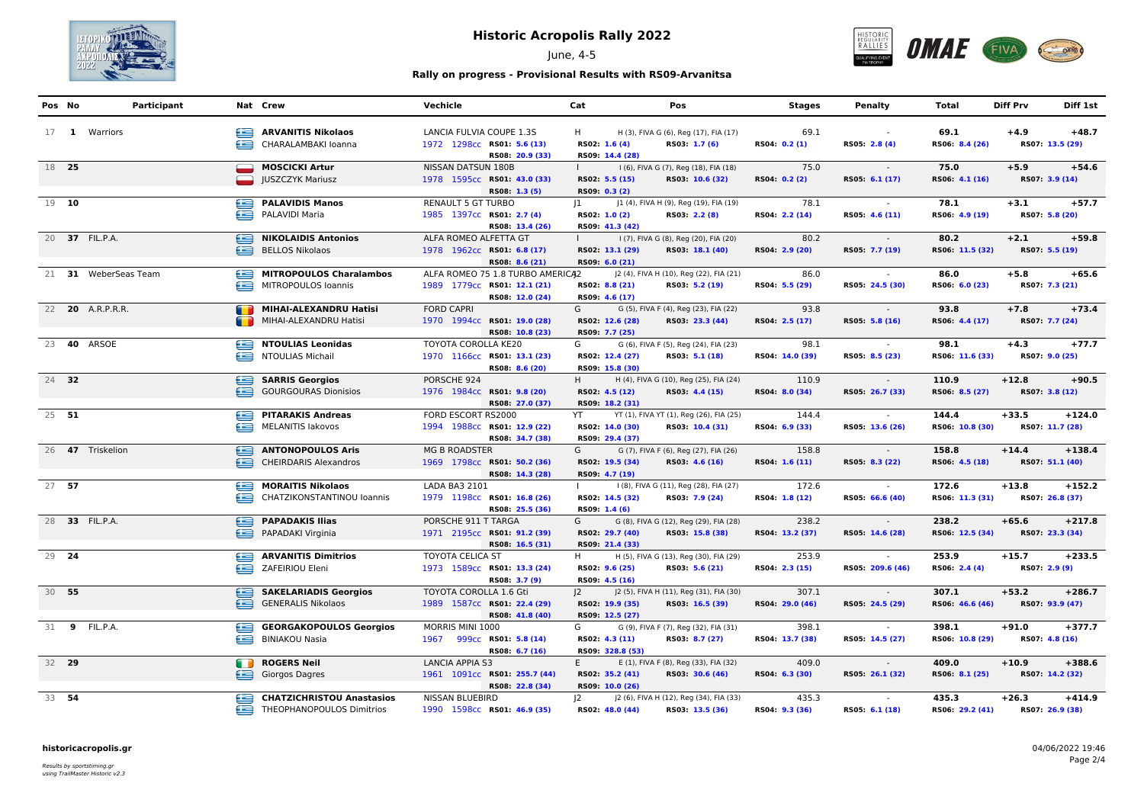

June, 4-5



## **Rally on progress - Provisional Results with RS09-Arvanitsa**

|       | Pos No  | Participant             |   | Nat Crew                         | Vechicle                         | Cat          |                  | Pos                                     | <b>Stages</b>   | <b>Penalty</b>   | Total           | <b>Diff Prv</b> | Diff 1st        |
|-------|---------|-------------------------|---|----------------------------------|----------------------------------|--------------|------------------|-----------------------------------------|-----------------|------------------|-----------------|-----------------|-----------------|
|       |         | 17 1 Warriors           |   | ARVANITIS Nikolaos               | LANCIA FULVIA COUPE 1.3S         | H            |                  | H (3), FIVA G (6), Reg (17), FIA (17)   | 69.1            | $\sim$           | 69.1            | $+4.9$          | $+48.7$         |
|       |         |                         |   | CHARALAMBAKI loanna              | 1972 1298cc RS01: 5.6 (13)       |              | RS02: 1.6 (4)    | RS03: 1.7 (6)                           | RS04: 0.2 (1)   | RS05: 2.8 (4)    | RS06: 8.4 (26)  |                 | RS07: 13.5 (29) |
|       |         |                         |   |                                  | RS08: 20.9 (33)                  |              | RS09: 14.4 (28)  |                                         |                 |                  |                 |                 |                 |
|       | 18 25   |                         |   | MOSCICKI Artur                   | NISSAN DATSUN 180B               |              |                  | I (6), FIVA G (7), Reg (18), FIA (18)   | 75.0            | <b>Contract</b>  | 75.0            | $+5.9$          | $+54.6$         |
|       |         |                         |   | <b>JUSZCZYK Mariusz</b>          | 1978 1595cc RS01: 43.0 (33)      |              | RS02: 5.5 (15)   | RS03: 10.6 (32)                         | RS04: 0.2 (2)   | RS05: 6.1 (17)   | RS06: 4.1 (16)  |                 | RS07: 3.9 (14)  |
|       |         |                         |   |                                  | RS08: 1.3 (5)                    |              | RS09: 0.3 (2)    |                                         |                 |                  |                 |                 |                 |
| 19 10 |         |                         |   | PALAVIDIS Manos                  | RENAULT 5 GT TURBO               | 1            |                  | J1 (4), FIVA H (9), Reg (19), FIA (19)  | 78.1            |                  | 78.1            | $+3.1$          | $+57.7$         |
|       |         |                         |   | PALAVIDI Maria                   | 1985 1397cc RS01: 2.7 (4)        |              | RS02: 1.0 (2)    | RS03: 2.2 (8)                           | RS04: 2.2 (14)  | RS05: 4.6 (11)   | RS06: 4.9 (19)  |                 | RS07: 5.8 (20)  |
|       |         |                         |   |                                  | RS08: 13.4 (26)                  |              | RS09: 41.3 (42)  |                                         |                 |                  |                 |                 |                 |
|       |         | 20 37 FIL.P.A.          |   | NIKOLAIDIS Antonios              | ALFA ROMEO ALFETTA GT            |              |                  | I (7), FIVA G (8), Reg (20), FIA (20)   | 80.2            | $\sim 100$       | 80.2            | $+2.1$          | $+59.8$         |
|       |         |                         |   | BELLOS Nikolaos                  | 1978 1962cc RS01: 6.8 (17)       |              | RS02: 13.1 (29)  | RS03: 18.1 (40)                         | RS04: 2.9 (20)  | RS05: 7.7 (19)   | RS06: 11.5 (32) |                 | RS07: 5.5 (19)  |
|       |         |                         |   |                                  | RS08: 8.6 (21)                   |              | RS09: 6.0 (21)   |                                         |                 |                  |                 |                 |                 |
|       |         | 21 31 WeberSeas Team    |   | MITROPOULOS Charalambos          | ALFA ROMEO 75 1.8 TURBO AMERICA2 |              |                  | J2 (4), FIVA H (10), Reg (22), FIA (21) | 86.0            |                  | 86.0            | $+5.8$          | $+65.6$         |
|       |         |                         |   | MITROPOULOS Ioannis              | 1989 1779cc RS01: 12.1 (21)      |              | RS02: 8.8 (21)   | RS03: 5.2 (19)                          | RS04: 5.5 (29)  | RS05: 24.5 (30)  | RS06: 6.0 (23)  |                 | RS07: 7.3 (21)  |
|       |         |                         |   |                                  | RS08: 12.0 (24)                  |              | RS09: 4.6 (17)   |                                         |                 |                  |                 |                 |                 |
|       |         | 22 <b>20</b> A.R.P.R.R. |   | MIHAI-ALEXANDRU Hatisi           | <b>FORD CAPRI</b>                | G –          |                  | G (5), FIVA F (4), Reg (23), FIA (22)   | 93.8            | <b>Contract</b>  | 93.8            | $+7.8$          | $+73.4$         |
|       |         |                         |   | MIHAI-ALEXANDRU Hatisi           | 1970 1994cc RS01: 19.0 (28)      |              | RS02: 12.6 (28)  | RS03: 23.3 (44)                         | RS04: 2.5 (17)  | RS05: 5.8 (16)   | RS06: 4.4 (17)  |                 | RS07: 7.7 (24)  |
|       |         |                         |   |                                  | RS08: 10.8 (23)                  |              | RS09: 7.7 (25)   |                                         |                 |                  |                 |                 |                 |
|       |         | 23 <b>40</b> ARSOE      |   | NTOULIAS Leonidas                | TOYOTA COROLLA KE20              |              |                  | G (6), FIVA F (5), Reg (24), FIA (23)   | 98.1            | $\sim$           | 98.1            | $+4.3$          | $+77.7$         |
|       |         |                         |   | NTOULIAS Michail                 | 1970 1166cc RS01: 13.1 (23)      |              | RS02: 12.4 (27)  | RS03: 5.1 (18)                          | RS04: 14.0 (39) | RS05: 8.5 (23)   | RS06: 11.6 (33) |                 | RS07: 9.0 (25)  |
|       |         |                         |   |                                  | RS08: 8.6 (20)                   |              | RS09: 15.8 (30)  |                                         |                 |                  |                 |                 |                 |
|       | 24 32   |                         |   | <b>SARRIS Georgios</b>           | PORSCHE 924                      | H.           |                  | H (4), FIVA G (10), Reg (25), FIA (24)  | 110.9           | $\sim 10^7$      | 110.9           | $+12.8$         | $+90.5$         |
|       |         |                         |   | GOURGOURAS Dionisios             | 1976 1984cc RS01: 9.8 (20)       |              | RS02: 4.5 (12)   | RS03: 4.4 (15)                          | RS04: 8.0 (34)  | RS05: 26.7 (33)  | RS06: 8.5 (27)  |                 | RS07: 3.8 (12)  |
|       |         |                         |   |                                  | RS08: 27.0 (37)                  |              | RS09: 18.2 (31)  |                                         |                 |                  |                 |                 |                 |
|       | 25 51   |                         |   | <b>PITARAKIS Andreas</b>         | FORD ESCORT RS2000               | YT           |                  | YT (1), FIVA YT (1), Reg (26), FIA (25) | 144.4           |                  | 144.4           | $+33.5$         | $+124.0$        |
|       |         |                         |   | MELANITIS lakovos                | 1994 1988cc RS01: 12.9 (22)      |              | RS02: 14.0 (30)  | RS03: 10.4 (31)                         | RS04: 6.9 (33)  | RS05: 13.6 (26)  | RS06: 10.8 (30) |                 | RS07: 11.7 (28) |
|       |         |                         |   |                                  | RS08: 34.7 (38)                  |              | RS09: 29.4 (37)  |                                         |                 |                  |                 |                 |                 |
|       |         | 26 47 Triskelion        |   | ANTONOPOULOS Aris                | <b>MG B ROADSTER</b>             | G            |                  | G (7), FIVA F (6), Reg (27), FIA (26)   | 158.8           | <b>Contract</b>  | 158.8           | $+14.4$         | $+138.4$        |
|       |         |                         |   | CHEIRDARIS Alexandros            | 1969 1798cc RS01: 50.2 (36)      |              | RS02: 19.5 (34)  | RS03: 4.6 (16)                          | RS04: 1.6 (11)  | RS05: 8.3 (22)   | RS06: 4.5 (18)  |                 | RS07: 51.1 (40) |
|       |         |                         |   |                                  | RS08: 14.3 (28)                  |              | RS09: 4.7 (19)   |                                         |                 |                  |                 |                 |                 |
|       | $27$ 57 |                         |   | MORAITIS Nikolaos                | LADA BA3 2101                    |              |                  | I (8), FIVA G (11), Reg (28), FIA (27)  | 172.6           |                  | 172.6           | $+13.8$         | $+152.2$        |
|       |         |                         | œ | CHATZIKONSTANTINOU Ioannis       | 1979 1198cc RS01: 16.8 (26)      |              | RS02: 14.5 (32)  | RS03: 7.9 (24)                          | RS04: 1.8 (12)  | RS05: 66.6 (40)  | RS06: 11.3 (31) |                 | RS07: 26.8 (37) |
|       |         |                         |   |                                  | RS08: 25.5 (36)                  |              | RS09: 1.4 (6)    |                                         |                 |                  |                 |                 |                 |
|       |         | 28 33 FIL.P.A.          | e | <b>PAPADAKIS Ilias</b>           | PORSCHE 911 T TARGA              | G            |                  | G (8), FIVA G (12), Reg (29), FIA (28)  | 238.2           | $\sim$           | 238.2           | $+65.6$         | $+217.8$        |
|       |         |                         |   | PAPADAKI Virginia                | 1971 2195cc RS01: 91.2 (39)      |              | RS02: 29.7 (40)  | RS03: 15.8 (38)                         | RS04: 13.2 (37) | RS05: 14.6 (28)  | RS06: 12.5 (34) |                 | RS07: 23.3 (34) |
|       |         |                         |   |                                  | RS08: 16.5 (31)                  |              | RS09: 21.4 (33)  |                                         |                 |                  |                 |                 |                 |
|       | 29 24   |                         | œ | <b>ARVANITIS Dimitrios</b>       | TOYOTA CELICA ST                 | H.           |                  | H (5), FIVA G (13), Reg (30), FIA (29)  | 253.9           |                  | 253.9           | $+15.7$         | $+233.5$        |
|       |         |                         |   | ZAFEIRIOU Eleni                  | 1973 1589cc RS01: 13.3 (24)      |              | RS02: 9.6 (25)   | RS03: 5.6 (21)                          | RS04: 2.3 (15)  | RS05: 209.6 (46) | RS06: 2.4 (4)   |                 | RS07: 2.9 (9)   |
|       |         |                         |   |                                  | RS08: 3.7 (9)                    |              | RS09: 4.5 (16)   |                                         |                 |                  |                 |                 |                 |
|       | 30 55   |                         |   | SAKELARIADIS Georgios            | TOYOTA COROLLA 1.6 Gti           | $ 2 \rangle$ |                  | J2 (5), FIVA H (11), Reg (31), FIA (30) | 307.1           | <b>Contract</b>  | 307.1           | $+53.2$         | $+286.7$        |
|       |         |                         |   | GENERALIS Nikolaos               | 1989 1587cc RS01: 22.4 (29)      |              | RS02: 19.9 (35)  | RS03: 16.5 (39)                         | RS04: 29.0 (46) | RS05: 24.5 (29)  | RS06: 46.6 (46) |                 | RS07: 93.9 (47) |
|       |         |                         |   |                                  | RS08: 41.8 (40)                  |              | RS09: 12.5 (27)  |                                         |                 |                  |                 |                 |                 |
|       |         | 31 9 FIL.P.A.           |   | <b>GEORGAKOPOULOS Georgios</b>   | MORRIS MINI 1000                 | G            |                  | G (9), FIVA F (7), Reg (32), FIA (31)   | 398.1           | $\sim$           | 398.1           | $+91.0$         | $+377.7$        |
|       |         |                         |   | <b>BINIAKOU Nasia</b>            | 1967 999cc RS01: 5.8 (14)        |              | RS02: 4.3 (11)   | RS03: 8.7 (27)                          | RS04: 13.7 (38) | RS05: 14.5 (27)  | RS06: 10.8 (29) |                 | RS07: 4.8 (16)  |
|       |         |                         |   |                                  | RS08: 6.7 (16)                   |              | RS09: 328.8 (53) |                                         |                 |                  |                 |                 |                 |
|       | 32 29   |                         |   | <b>ROGERS Neil</b>               | LANCIA APPIA S3                  | E.           |                  | E (1), FIVA F (8), Reg (33), FIA (32)   | 409.0           | $\sim$           | 409.0           | $+10.9$         | $+388.6$        |
|       |         |                         |   | Giorgos Dagres                   | 1961 1091cc RS01: 255.7 (44)     |              | RS02: 35.2 (41)  | RS03: 30.6 (46)                         | RS04: 6.3 (30)  | RS05: 26.1 (32)  | RS06: 8.1 (25)  |                 | RS07: 14.2 (32) |
|       |         |                         |   |                                  | RS08: 22.8 (34)                  |              | RS09: 10.0 (26)  |                                         |                 |                  |                 |                 |                 |
|       | 33 54   |                         | œ | <b>CHATZICHRISTOU Anastasios</b> | NISSAN BLUEBIRD                  | $ 2\rangle$  |                  | J2 (6), FIVA H (12), Reg (34), FIA (33) | 435.3           |                  | 435.3           | $+26.3$         | $+414.9$        |
|       |         |                         |   | THEOPHANOPOULOS Dimitrios        | 1990 1598cc RS01: 46.9 (35)      |              | RS02: 48.0 (44)  | RS03: 13.5 (36)                         | RS04: 9.3 (36)  | RS05: 6.1 (18)   | RS06: 29.2 (41) |                 | RS07: 26.9 (38) |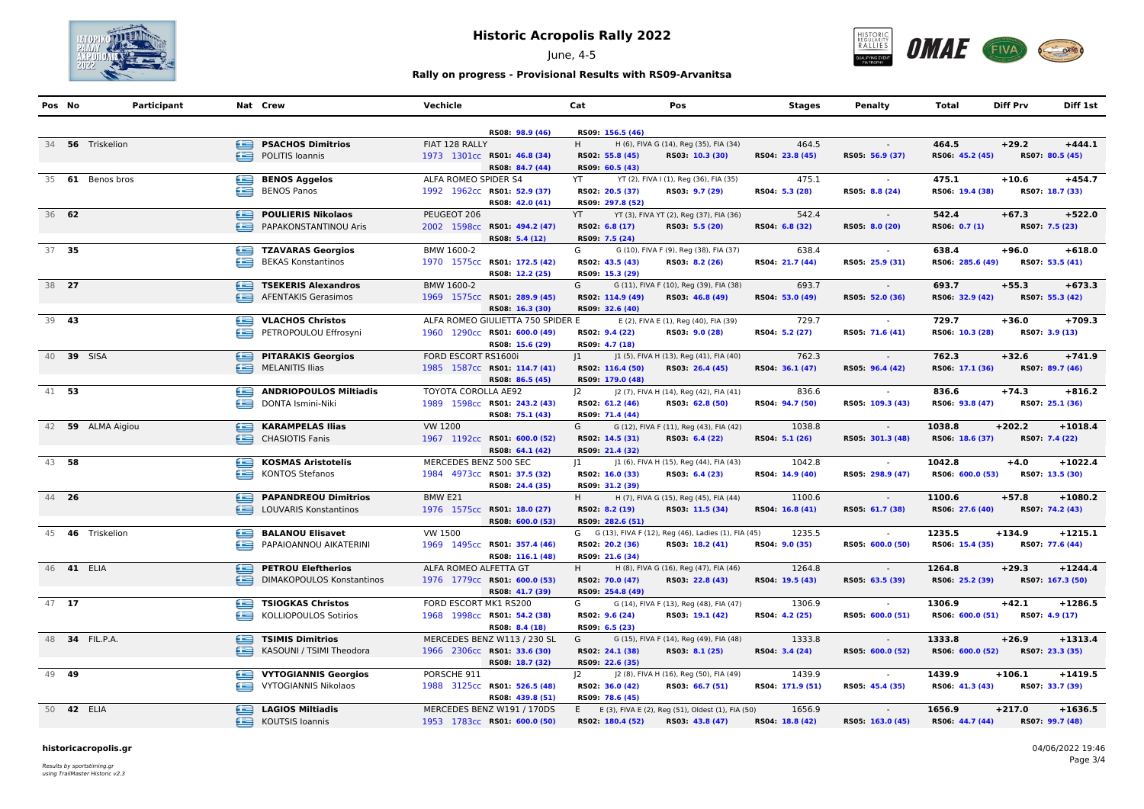

June, 4-5



## **Rally on progress - Provisional Results with RS09-Arvanitsa**

| Pos No |       | Participant       |   | Nat Crew                          | Vechicle              |                                   | Cat         |                  | Pos                                                   | <b>Stages</b>    | Penalty          | Total            | <b>Diff Prv</b> | Diff 1st         |
|--------|-------|-------------------|---|-----------------------------------|-----------------------|-----------------------------------|-------------|------------------|-------------------------------------------------------|------------------|------------------|------------------|-----------------|------------------|
|        |       |                   |   |                                   |                       | RS08: 98.9 (46)                   |             | RS09: 156.5 (46) |                                                       |                  |                  |                  |                 |                  |
|        |       | 34 56 Triskelion  |   | <b>PSACHOS Dimitrios</b>          | FIAT 128 RALLY        |                                   | H.          |                  | H (6), FIVA G (14), Reg (35), FIA (34)                | 464.5            |                  | 464.5            | $+29.2$         | $+444.1$         |
|        |       |                   | œ | POLITIS Ioannis                   |                       | 1973 1301cc RS01: 46.8 (34)       |             | RS02: 55.8 (45)  | RS03: 10.3 (30)                                       | RS04: 23.8 (45)  | RS05: 56.9 (37)  | RS06: 45.2 (45)  |                 | RS07: 80.5 (45)  |
|        |       |                   |   |                                   |                       | RS08: 84.7 (44)                   |             | RS09: 60.5 (43)  |                                                       |                  |                  |                  |                 |                  |
|        |       | 35 61 Benos bros  | ఆ | <b>BENOS Aggelos</b>              | ALFA ROMEO SPIDER S4  |                                   | YT          |                  | YT (2), FIVA I (1), Reg (36), FIA (35)                | 475.1            |                  | 475.1            | $+10.6$         | $+454.7$         |
|        |       |                   |   | <b>BENOS Panos</b>                |                       | 1992 1962cc RS01: 52.9 (37)       |             | RS02: 20.5 (37)  | RS03: 9.7 (29)                                        | RS04: 5.3 (28)   | RS05: 8.8 (24)   | RS06: 19.4 (38)  |                 | RS07: 18.7 (33)  |
|        |       |                   |   |                                   |                       | RS08: 42.0 (41)                   |             | RS09: 297.8 (52) |                                                       |                  |                  |                  |                 |                  |
| 36 62  |       |                   | e | <b>POULIERIS Nikolaos</b>         | PEUGEOT 206           |                                   | <b>YT</b>   |                  | YT (3), FIVA YT (2), Reg (37), FIA (36)               | 542.4            | $\sim$ $-$       | 542.4            | $+67.3$         | $+522.0$         |
|        |       |                   |   | PAPAKONSTANTINOU Aris             |                       | 2002 1598cc RS01: 494.2 (47)      |             | RS02: 6.8 (17)   | RS03: 5.5 (20)                                        | RS04: 6.8 (32)   | RS05: 8.0 (20)   | RS06: 0.7 (1)    |                 | RS07: 7.5 (23)   |
|        |       |                   |   |                                   |                       | RS08: 5.4 (12)                    |             | RS09: 7.5 (24)   |                                                       |                  |                  |                  |                 |                  |
|        | 37 35 |                   | œ | <b>TZAVARAS Georgios</b>          | BMW 1600-2            |                                   | G           |                  | G (10), FIVA F (9), Reg (38), FIA (37)                | 638.4            |                  | 638.4            | $+96.0$         | $+618.0$         |
|        |       |                   | œ | <b>BEKAS Konstantinos</b>         |                       | 1970 1575cc RS01: 172.5 (42)      |             | RS02: 43.5 (43)  | RS03: 8.2 (26)                                        | RS04: 21.7 (44)  | RS05: 25.9 (31)  | RS06: 285.6 (49) |                 | RS07: 53.5 (41)  |
|        |       |                   |   |                                   |                       | RS08: 12.2 (25)                   |             | RS09: 15.3 (29)  |                                                       |                  |                  |                  |                 |                  |
| 38 27  |       |                   |   | TSEKERIS Alexandros               | BMW 1600-2            |                                   | G           |                  | G (11), FIVA F (10), Reg (39), FIA (38)               | 693.7            | $\sim$           | 693.7            | $+55.3$         | $+673.3$         |
|        |       |                   |   | AFENTAKIS Gerasimos               |                       | 1969 1575cc RS01: 289.9 (45)      |             | RS02: 114.9 (49) | RS03: 46.8 (49)                                       | RS04: 53.0 (49)  | RS05: 52.0 (36)  | RS06: 32.9 (42)  |                 | RS07: 55.3 (42)  |
|        |       |                   |   |                                   |                       | RS08: 16.3 (30)                   |             | RS09: 32.6 (40)  |                                                       |                  |                  |                  |                 |                  |
| 39 43  |       |                   |   | VLACHOS Christos                  |                       | ALFA ROMEO GIULIETTA 750 SPIDER E |             |                  | E (2), FIVA E (1), Reg (40), FIA (39)                 | 729.7            | $\sim$           | 729.7            | $+36.0$         | $+709.3$         |
|        |       |                   | e | PETROPOULOU Effrosyni             |                       | 1960 1290cc RS01: 600.0 (49)      |             | RS02: 9.4 (22)   | RS03: 9.0 (28)                                        | RS04: 5.2 (27)   | RS05: 71.6 (41)  | RS06: 10.3 (28)  |                 | RS07: 3.9 (13)   |
|        |       |                   |   |                                   |                       | RS08: 15.6 (29)                   |             | RS09: 4.7 (18)   |                                                       |                  |                  |                  |                 |                  |
|        |       | 40 39 SISA        |   | <b>PITARAKIS Georgios</b>         | FORD ESCORT RS1600i   |                                   | 1           |                  | J1 (5), FIVA H (13), Reg (41), FIA (40)               | 762.3            | $\sim$           | 762.3            | $+32.6$         | $+741.9$         |
|        |       |                   |   | <b>MELANITIS Ilias</b>            |                       | 1985 1587cc RS01: 114.7 (41)      |             | RS02: 116.4 (50) | RS03: 26.4 (45)                                       | RS04: 36.1 (47)  | RS05: 96.4 (42)  | RS06: 17.1 (36)  |                 | RS07: 89.7 (46)  |
|        |       |                   |   |                                   |                       | RS08: 86.5 (45)                   |             | RS09: 179.0 (48) |                                                       |                  |                  |                  |                 |                  |
| 41 53  |       |                   | e | <b>ANDRIOPOULOS Miltiadis</b>     | TOYOTA COROLLA AE92   |                                   | $ 2\rangle$ |                  | J2 (7), FIVA H (14), Reg (42), FIA (41)               | 836.6            |                  | 836.6            | $+74.3$         | $+816.2$         |
|        |       |                   |   | DONTA Ismini-Niki                 |                       | 1989 1598cc RS01: 243.2 (43)      |             | RS02: 61.2 (46)  | RS03: 62.8 (50)                                       | RS04: 94.7 (50)  | RS05: 109.3 (43) | RS06: 93.8 (47)  |                 | RS07: 25.1 (36)  |
|        |       |                   |   |                                   |                       | RS08: 75.1 (43)                   |             | RS09: 71.4 (44)  |                                                       |                  |                  |                  |                 |                  |
|        |       | 42 59 ALMA Aigiou | ⊜ | <b>KARAMPELAS Ilias</b>           | VW 1200               |                                   | G           |                  | G (12), FIVA F (11), Reg (43), FIA (42)               | 1038.8           | $\sim 10^{-11}$  | 1038.8           | $+202.2$        | $+1018.4$        |
|        |       |                   |   | CHASIOTIS Fanis                   |                       | 1967 1192cc RS01: 600.0 (52)      |             | RS02: 14.5 (31)  | RS03: 6.4 (22)                                        | RS04: 5.1 (26)   | RS05: 301.3 (48) | RS06: 18.6 (37)  |                 | RS07: 7.4 (22)   |
|        |       |                   |   |                                   |                       | RS08: 64.1 (42)                   |             | RS09: 21.4 (32)  |                                                       |                  |                  |                  |                 |                  |
| 43 58  |       |                   | ఆ | <b>KOSMAS Aristotelis</b>         | MERCEDES BENZ 500 SEC |                                   | $ 1\rangle$ |                  | J1 (6), FIVA H (15), Reg (44), FIA (43)               | 1042.8           |                  | 1042.8           | $+4.0$          | $+1022.4$        |
|        |       |                   | œ | <b>KONTOS Stefanos</b>            |                       | 1984 4973cc RS01: 37.5 (32)       |             | RS02: 16.0 (33)  | RS03: 6.4 (23)                                        | RS04: 14.9 (40)  | RS05: 298.9 (47) | RS06: 600.0 (53) |                 | RS07: 13.5 (30)  |
|        |       |                   |   |                                   |                       | RS08: 24.4 (35)                   |             | RS09: 31.2 (39)  |                                                       |                  |                  |                  |                 |                  |
|        | 44 26 |                   | ఆ | <b>PAPANDREOU Dimitrios</b>       | BMW E21               |                                   | H.          |                  | H (7), FIVA G (15), Reg (45), FIA (44)                | 1100.6           | $\sim$           | 1100.6           | $+57.8$         | $+1080.2$        |
|        |       |                   |   | LOUVARIS Konstantinos             |                       | 1976 1575cc RS01: 18.0 (27)       |             | RS02: 8.2 (19)   | RS03: 11.5 (34)                                       | RS04: 16.8 (41)  | RS05: 61.7 (38)  | RS06: 27.6 (40)  |                 | RS07: 74.2 (43)  |
|        |       |                   |   |                                   |                       | RS08: 600.0 (53)                  |             | RS09: 282.6 (51) |                                                       |                  |                  |                  |                 |                  |
|        |       | 45 46 Triskelion  | ఆ | <b>BALANOU Elisavet</b>           | VW 1500               |                                   |             |                  | G G (13), FIVA F (12), Reg (46), Ladies (1), FIA (45) | 1235.5           | $\sim$           | 1235.5           | $+134.9$        | $+1215.1$        |
|        |       |                   | ≘ | PAPAIOANNOU AIKATERINI            |                       | 1969 1495cc RS01: 357.4 (46)      |             | RS02: 20.2 (36)  | RS03: 18.2 (41)                                       | RS04: 9.0 (35)   | RS05: 600.0 (50) | RS06: 15.4 (35)  |                 | RS07: 77.6 (44)  |
|        |       |                   |   |                                   |                       | RS08: 116.1 (48)                  |             | RS09: 21.6 (34)  |                                                       |                  |                  |                  |                 |                  |
|        |       | 46 <b>41 ELIA</b> | ⊜ | <b>PETROU Eleftherios</b>         | ALFA ROMEO ALFETTA GT |                                   | H.          |                  | H (8), FIVA G (16), Reg (47), FIA (46)                | 1264.8           | $\sim$           | 1264.8           | $+29.3$         | $+1244.4$        |
|        |       |                   | œ | <b>DIMAKOPOULOS Konstantinos</b>  |                       | 1976 1779cc RS01: 600.0 (53)      |             | RS02: 70.0 (47)  | RS03: 22.8 (43)                                       | RS04: 19.5 (43)  | RS05: 63.5 (39)  | RS06: 25.2 (39)  |                 | RS07: 167.3 (50) |
|        |       |                   |   |                                   |                       | RS08: 41.7 (39)                   |             | RS09: 254.8 (49) |                                                       |                  |                  |                  |                 |                  |
|        | 47 17 |                   |   | TSIOGKAS Christos                 | FORD ESCORT MK1 RS200 |                                   | G           |                  | G (14), FIVA F (13), Reg (48), FIA (47)               | 1306.9           | $\sim$           | 1306.9           | $+42.1$         | $+1286.5$        |
|        |       |                   |   | KOLLIOPOULOS Sotirios             |                       | 1968 1998cc RS01: 54.2 (38)       |             | RS02: 9.6 (24)   | RS03: 19.1 (42)                                       | RS04: 4.2 (25)   | RS05: 600.0 (51) | RS06: 600.0 (51) |                 | RS07: 4.9 (17)   |
|        |       |                   |   |                                   |                       | RS08: 8.4 (18)                    |             | RS09: 6.5 (23)   |                                                       |                  |                  |                  |                 |                  |
|        |       | 48 34 FIL.P.A.    | e | <b>TSIMIS Dimitrios</b>           |                       | MERCEDES BENZ W113 / 230 SL       | G           |                  | G (15), FIVA F (14), Reg (49), FIA (48)               | 1333.8           | $\sim$ $-$       | 1333.8           | $+26.9$         | $+1313.4$        |
|        |       |                   |   | KASOUNI / TSIMI Theodora          |                       | 1966 2306cc RS01: 33.6 (30)       |             | RS02: 24.1 (38)  | RS03: 8.1 (25)                                        | RS04: 3.4 (24)   | RS05: 600.0 (52) | RS06: 600.0 (52) |                 | RS07: 23.3 (35)  |
|        |       |                   |   |                                   |                       | RS08: 18.7 (32)                   |             | RS09: 22.6 (35)  |                                                       |                  |                  |                  |                 |                  |
| 49 49  |       |                   |   | <b>VYTOGIANNIS Georgios</b>       | PORSCHE 911           |                                   | $ 2\rangle$ |                  | J2 (8), FIVA H (16), Reg (50), FIA (49)               | 1439.9           | $\sim$           | 1439.9           | $+106.1$        | $+1419.5$        |
|        |       |                   |   | VYTOGIANNIS Nikolaos              |                       | 1988 3125cc RS01: 526.5 (48)      |             | RS02: 36.0 (42)  | RS03: 66.7 (51)                                       | RS04: 171.9 (51) | RS05: 45.4 (35)  | RS06: 41.3 (43)  |                 | RS07: 33.7 (39)  |
|        |       |                   |   |                                   |                       | RS08: 439.8 (51)                  |             | RS09: 78.6 (45)  |                                                       |                  |                  |                  |                 |                  |
|        |       | 50 <b>42 ELIA</b> |   | <b>Example 2</b> LAGIOS Miltiadis |                       | MERCEDES BENZ W191 / 170DS        |             |                  | E E (3), FIVA E (2), Reg (51), Oldest (1), FIA (50)   | 1656.9           | $\sim$           | 1656.9           | $+217.0$        | $+1636.5$        |
|        |       |                   |   | KOUTSIS Ioannis                   |                       | 1953 1783cc RS01: 600.0 (50)      |             | RS02: 180.4 (52) | RS03: 43.8 (47)                                       | RS04: 18.8 (42)  | RS05: 163.0 (45) | RS06: 44.7 (44)  |                 | RS07: 99.7 (48)  |
|        |       |                   |   |                                   |                       |                                   |             |                  |                                                       |                  |                  |                  |                 |                  |

#### **historicacropolis.gr** 04/06/2022 19:46